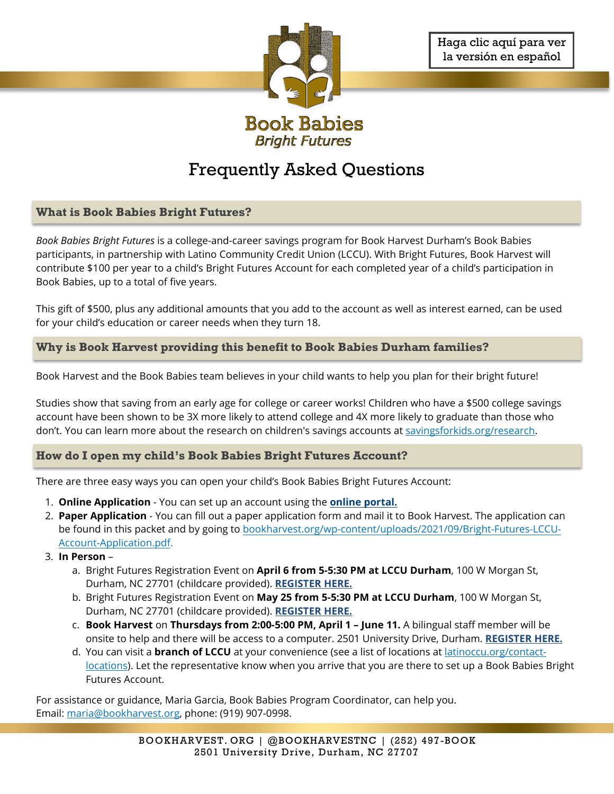

# Frequently Asked Questions

## **What is Book Babies Bright Futures?**

*Book Babies Bright Futures* is a college-and-career savings program for Book Harvest Durham's Book Babies participants, in partnership with Latino Community Credit Union (LCCU). With Bright Futures, Book Harvest will contribute \$100 per year to a child's Bright Futures Account for each completed year of a child's participation in Book Babies, up to a total of five years.

This gift of \$500, plus any additional amounts that you add to the account as well as interest earned, can be used for your child's education or career needs when they turn 18.

## **Why is Book Harvest providing this benefit to Book Babies Durham families?**

Book Harvest and the Book Babies team believes in your child wants to help you plan for their bright future!

Studies show that saving from an early age for college or career works! Children who have a \$500 college savings account have been shown to be 3X more likely to attend college and 4X more likely to graduate than those who don't. You can learn more about the research on children's savings accounts at [savingsforkids.org/research.](https://savingsforkids.org/research)

## **How do I open my child's Book Babies Bright Futures Account?**

There are three easy ways you can open your child's Book Babies Bright Futures Account:

- 1. **Online Application** You can set up an account using the **[online portal.](https://powerforms.docusign.net/35bfa88f-eba2-4200-806a-d2e8a3aa7d4d?env=na2&acct=d0adb306-7d52-4514-a7de-1002d814e64c&accountId=d0adb306-7d52-4514-a7de-1002d814e64c)**
- 2. **Paper Application** You can fill out a paper application form and mail it to Book Harvest. The application can be found in this packet and by going to [bookharvest.org/wp-content/uploads/2021/09/Bright-Futures-LCCU-](https://bookharvest.org/wp-content/uploads/2021/09/Bright-Futures-LCCU-Account-Application.pdf)[Account-Application.pdf.](https://bookharvest.org/wp-content/uploads/2021/09/Bright-Futures-LCCU-Account-Application.pdf)
- 3. **In Person**
	- a. Bright Futures Registration Event on **April 6 from 5-5:30 PM at LCCU Durham**, 100 W Morgan St, Durham, NC 27701 (childcare provided). **[REGISTER HERE.](https://www.eventbrite.com/e/book-babies-bright-futures-enrollment-session-free-tickets-297304715407)**
	- b. Bright Futures Registration Event on **May 25 from 5-5:30 PM at LCCU Durham**, 100 W Morgan St, Durham, NC 27701 (childcare provided). **[REGISTER HERE.](https://www.eventbrite.com/e/book-babies-bright-futures-enrollment-session-free-tickets-297304715407)**
	- c. **Book Harvest** on **Thursdays from 2:00-5:00 PM, April 1 June 11.** A bilingual staff member will be onsite to help and there will be access to a computer. 2501 University Drive, Durham. **[REGISTER HERE.](https://www.eventbrite.com/e/book-babies-bright-futures-enrollment-help-free-tickets-297318446477)**
	- d. You can visit a **branch of LCCU** at your convenience (see a list of locations at [latinoccu.org/contact](https://latinoccu.org/contact-locations/)[locations\)](https://latinoccu.org/contact-locations/). Let the representative know when you arrive that you are there to set up a Book Babies Bright Futures Account.

For assistance or guidance, Maria Garcia, Book Babies Program Coordinator, can help you. Email[: maria@bookharvest.org,](mailto:maria@bookharvest.org) phone: (919) 907-0998.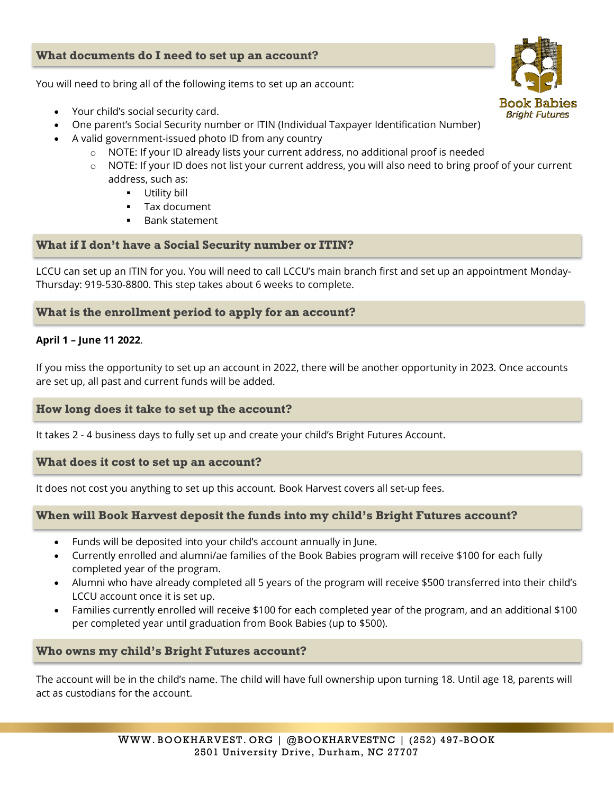## **What documents do I need to set up an account?**

You will need to bring all of the following items to set up an account:

- Your child's social security card.
- One parent's Social Security number or ITIN (Individual Taxpayer Identification Number)
- A valid government-issued photo ID from any country
	- $\circ$  NOTE: If your ID already lists your current address, no additional proof is needed
	- NOTE: If your ID does not list your current address, you will also need to bring proof of your current address, such as:
		- **Utility bill**
		- Tax document
		- Bank statement

## **What if I don't have a Social Security number or ITIN?**

LCCU can set up an ITIN for you. You will need to call LCCU's main branch first and set up an appointment Monday-Thursday: 919-530-8800. This step takes about 6 weeks to complete.

## **What is the enrollment period to apply for an account?**

## **April 1 – June 11 2022**.

If you miss the opportunity to set up an account in 2022, there will be another opportunity in 2023. Once accounts are set up, all past and current funds will be added.

## **How long does it take to set up the account?**

It takes 2 - 4 business days to fully set up and create your child's Bright Futures Account.

## **What does it cost to set up an account?**

It does not cost you anything to set up this account. Book Harvest covers all set-up fees.

## **When will Book Harvest deposit the funds into my child's Bright Futures account?**

- Funds will be deposited into your child's account annually in June.
- Currently enrolled and alumni/ae families of the Book Babies program will receive \$100 for each fully completed year of the program.
- Alumni who have already completed all 5 years of the program will receive \$500 transferred into their child's LCCU account once it is set up.
- Families currently enrolled will receive \$100 for each completed year of the program, and an additional \$100 per completed year until graduation from Book Babies (up to \$500).

## **Who owns my child's Bright Futures account?**

The account will be in the child's name. The child will have full ownership upon turning 18. Until age 18, parents will act as custodians for the account.

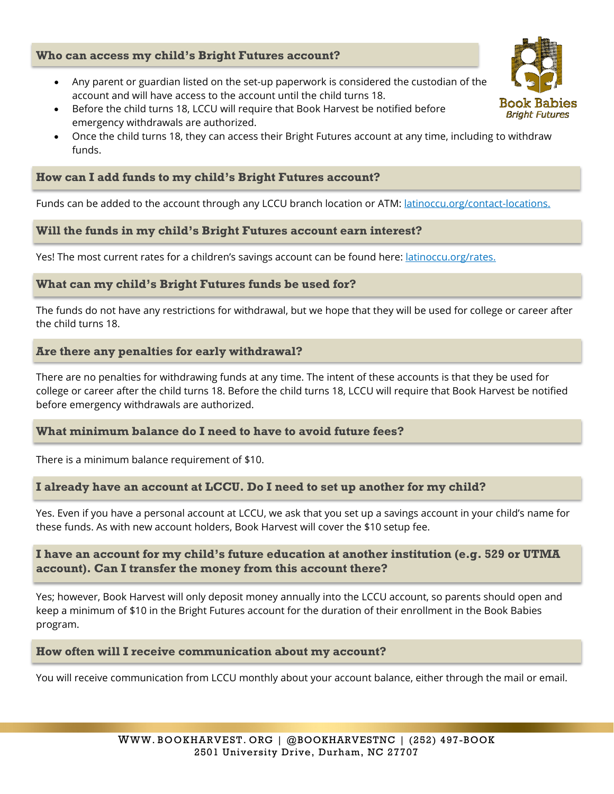## **Who can access my child's Bright Futures account?**

- Any parent or guardian listed on the set-up paperwork is considered the custodian of the account and will have access to the account until the child turns 18.
- Before the child turns 18, LCCU will require that Book Harvest be notified before emergency withdrawals are authorized.
- Once the child turns 18, they can access their Bright Futures account at any time, including to withdraw funds.

## **How can I add funds to my child's Bright Futures account?**

Funds can be added to the account through any LCCU branch location or ATM: [latinoccu.org/contact-locations.](https://latinoccu.org/contact-locations/)

## **Will the funds in my child's Bright Futures account earn interest?**

Yes! The most current rates for a children's savings account can be found here: *[latinoccu.org/rates.](https://latinoccu.org/rates/)* 

## **What can my child's Bright Futures funds be used for?**

The funds do not have any restrictions for withdrawal, but we hope that they will be used for college or career after the child turns 18.

## **Are there any penalties for early withdrawal?**

There are no penalties for withdrawing funds at any time. The intent of these accounts is that they be used for college or career after the child turns 18. Before the child turns 18, LCCU will require that Book Harvest be notified before emergency withdrawals are authorized.

## **What minimum balance do I need to have to avoid future fees?**

There is a minimum balance requirement of \$10.

#### **I already have an account at LCCU. Do I need to set up another for my child?**

Yes. Even if you have a personal account at LCCU, we ask that you set up a savings account in your child's name for these funds. As with new account holders, Book Harvest will cover the \$10 setup fee.

## **I have an account for my child's future education at another institution (e.g. 529 or UTMA account). Can I transfer the money from this account there?**

Yes; however, Book Harvest will only deposit money annually into the LCCU account, so parents should open and keep a minimum of \$10 in the Bright Futures account for the duration of their enrollment in the Book Babies program.

#### **How often will I receive communication about my account?**

You will receive communication from LCCU monthly about your account balance, either through the mail or email.

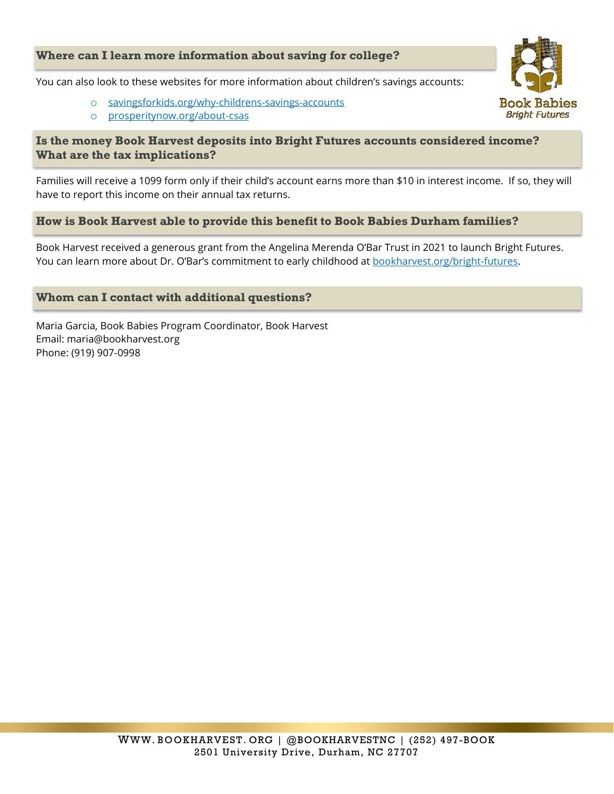## **Where can I learn more information about saving for college?**

You can also look to these websites for more information about children's savings accounts:

- o [savingsforkids.org/why-childrens-savings-accounts](https://savingsforkids.org/why-childrens-savings-accounts)
- o [prosperitynow.org/about-csas](https://prosperitynow.org/about-csas)

## **Is the money Book Harvest deposits into Bright Futures accounts considered income? What are the tax implications?**

Families will receive a 1099 form only if their child's account earns more than \$10 in interest income. If so, they will have to report this income on their annual tax returns.

## **How is Book Harvest able to provide this benefit to Book Babies Durham families?**

Book Harvest received a generous grant from the Angelina Merenda O'Bar Trust in 2021 to launch Bright Futures. You can learn more about Dr. O'Bar's commitment to early childhood at [bookharvest.org/bright-futures.](https://bookharvest.org/bright-futures/)

## **Whom can I contact with additional questions?**

Maria Garcia, Book Babies Program Coordinator, Book Harvest Email: maria@bookharvest.org Phone: (919) 907-0998

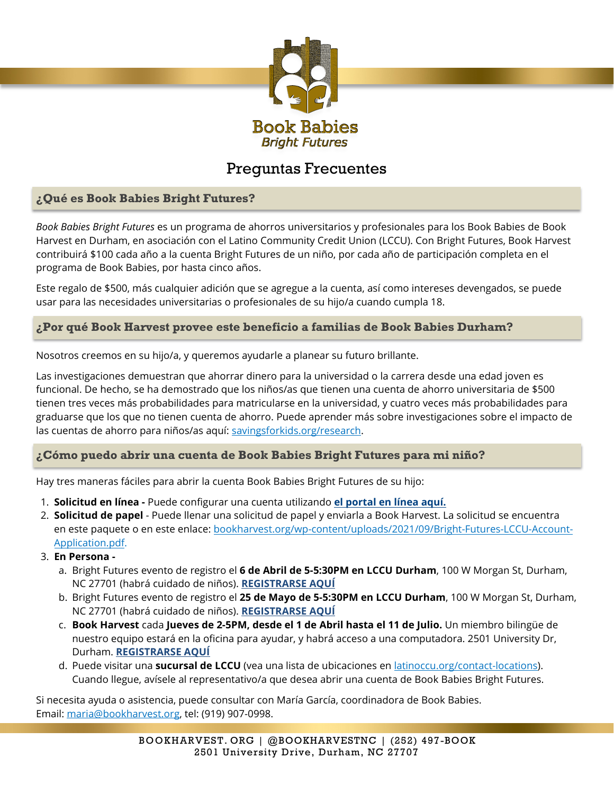

## Preguntas Frecuentes

## <span id="page-4-0"></span>**¿Qué es Book Babies Bright Futures?**

*Book Babies Bright Futures* es un programa de ahorros universitarios y profesionales para los Book Babies de Book Harvest en Durham, en asociación con el Latino Community Credit Union (LCCU). Con Bright Futures, Book Harvest contribuirá \$100 cada año a la cuenta Bright Futures de un niño, por cada año de participación completa en el programa de Book Babies, por hasta cinco años.

Este regalo de \$500, más cualquier adición que se agregue a la cuenta, así como intereses devengados, se puede usar para las necesidades universitarias o profesionales de su hijo/a cuando cumpla 18.

## **¿Por qué Book Harvest provee este beneficio a familias de Book Babies Durham?**

Nosotros creemos en su hijo/a, y queremos ayudarle a planear su futuro brillante.

Las investigaciones demuestran que ahorrar dinero para la universidad o la carrera desde una edad joven es funcional. De hecho, se ha demostrado que los niños/as que tienen una cuenta de ahorro universitaria de \$500 tienen tres veces más probabilidades para matricularse en la universidad, y cuatro veces más probabilidades para graduarse que los que no tienen cuenta de ahorro. Puede aprender más sobre investigaciones sobre el impacto de las cuentas de ahorro para niños/as aquí: [savingsforkids.org/research.](https://savingsforkids.org/research)

## **¿Cómo puedo abrir una cuenta de Book Babies Bright Futures para mi niño?**

Hay tres maneras fáciles para abrir la cuenta Book Babies Bright Futures de su hijo:

- 1. **Solicitud en línea** Puede configurar una cuenta utilizando **[el portal en línea aquí.](https://powerforms.docusign.net/35bfa88f-eba2-4200-806a-d2e8a3aa7d4d?env=na2&acct=d0adb306-7d52-4514-a7de-1002d814e64c&accountId=d0adb306-7d52-4514-a7de-1002d814e64c)**
- 2. **Solicitud de papel** Puede llenar una solicitud de papel y enviarla a Book Harvest. La solicitud se encuentra en este paquete o en este enlace: [bookharvest.org/wp-content/uploads/2021/09/Bright-Futures-LCCU-Account-](https://bookharvest.org/wp-content/uploads/2021/09/Bright-Futures-LCCU-Account-Application.pdf)[Application.pdf.](https://bookharvest.org/wp-content/uploads/2021/09/Bright-Futures-LCCU-Account-Application.pdf)
- 3. **En Persona** 
	- a. Bright Futures evento de registro el **6 de Abril de 5-5:30PM en LCCU Durham**, 100 W Morgan St, Durham, NC 27701 (habrá cuidado de niños). **[REGISTRARSE AQUÍ](https://www.eventbrite.com/e/book-babies-bright-futures-enrollment-session-free-tickets-297304715407)**
	- b. Bright Futures evento de registro el **25 de Mayo de 5-5:30PM en LCCU Durham**, 100 W Morgan St, Durham, NC 27701 (habrá cuidado de niños). **[REGISTRARSE AQUÍ](https://www.eventbrite.com/e/book-babies-bright-futures-enrollment-session-free-tickets-297304715407)**
	- c. **Book Harvest** cada **Jueves de 2-5PM, desde el 1 de Abril hasta el 11 de Julio.** Un miembro bilingüe de nuestro equipo estará en la oficina para ayudar, y habrá acceso a una computadora. 2501 University Dr, Durham. **[REGISTRARSE AQUÍ](https://www.eventbrite.com/e/book-babies-bright-futures-enrollment-help-free-tickets-297318446477)**
	- d. Puede visitar una **sucursal de LCCU** (vea una lista de ubicaciones en [latinoccu.org/contact-locations\)](https://latinoccu.org/contact-locations/). Cuando llegue, avísele al representativo/a que desea abrir una cuenta de Book Babies Bright Futures.

Si necesita ayuda o asistencia, puede consultar con María García, coordinadora de Book Babies. Email[: maria@bookharvest.org,](mailto:maria@bookharvest.org) tel: (919) 907-0998.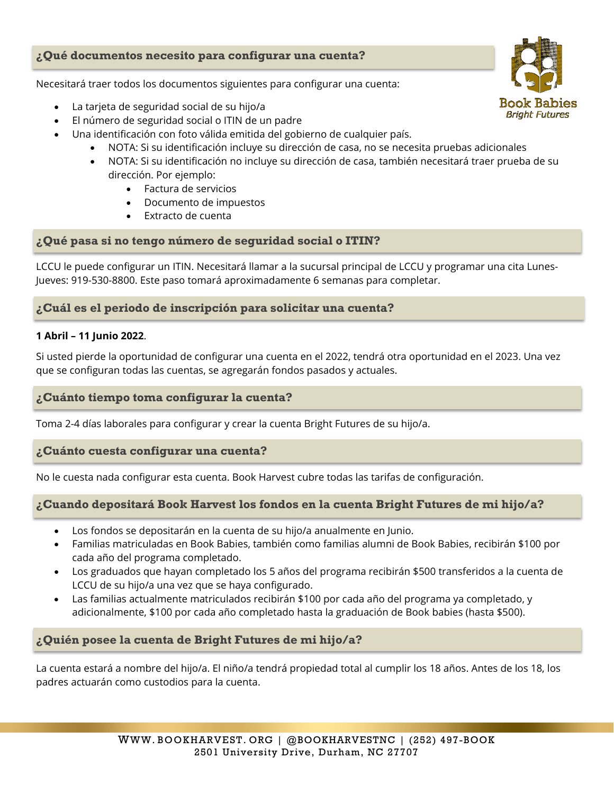## **¿Qué documentos necesito para configurar una cuenta?**

Necesitará traer todos los documentos siguientes para configurar una cuenta:

- La tarjeta de seguridad social de su hijo/a
- El número de seguridad social o ITIN de un padre
- Una identificación con foto válida emitida del gobierno de cualquier país.
	- NOTA: Si su identificación incluye su dirección de casa, no se necesita pruebas adicionales
	- NOTA: Si su identificación no incluye su dirección de casa, también necesitará traer prueba de su dirección. Por ejemplo:
		- Factura de servicios
		- Documento de impuestos
		- Extracto de cuenta

## **¿Qué pasa si no tengo número de seguridad social o ITIN?**

LCCU le puede configurar un ITIN. Necesitará llamar a la sucursal principal de LCCU y programar una cita Lunes-Jueves: 919-530-8800. Este paso tomará aproximadamente 6 semanas para completar.

## **¿Cuál es el periodo de inscripción para solicitar una cuenta?**

#### **1 Abril – 11 Junio 2022**.

Si usted pierde la oportunidad de configurar una cuenta en el 2022, tendrá otra oportunidad en el 2023. Una vez que se configuran todas las cuentas, se agregarán fondos pasados y actuales.

#### **¿Cuánto tiempo toma configurar la cuenta?**

Toma 2-4 días laborales para configurar y crear la cuenta Bright Futures de su hijo/a.

#### **¿Cuánto cuesta configurar una cuenta?**

No le cuesta nada configurar esta cuenta. Book Harvest cubre todas las tarifas de configuración.

## **¿Cuando depositará Book Harvest los fondos en la cuenta Bright Futures de mi hijo/a?**

- Los fondos se depositarán en la cuenta de su hijo/a anualmente en Junio.
- Familias matriculadas en Book Babies, también como familias alumni de Book Babies, recibirán \$100 por cada año del programa completado.
- Los graduados que hayan completado los 5 años del programa recibirán \$500 transferidos a la cuenta de LCCU de su hijo/a una vez que se haya configurado.
- Las familias actualmente matriculados recibirán \$100 por cada año del programa ya completado, y adicionalmente, \$100 por cada año completado hasta la graduación de Book babies (hasta \$500).

## **¿Quién posee la cuenta de Bright Futures de mi hijo/a?**

La cuenta estará a nombre del hijo/a. El niño/a tendrá propiedad total al cumplir los 18 años. Antes de los 18, los padres actuarán como custodios para la cuenta.

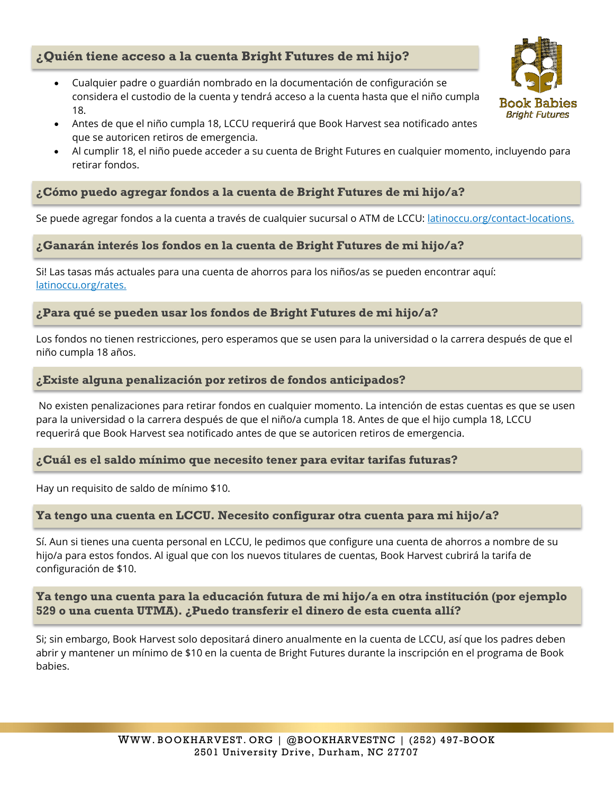## **¿Quién tiene acceso a la cuenta Bright Futures de mi hijo?**

- Cualquier padre o guardián nombrado en la documentación de configuración se considera el custodio de la cuenta y tendrá acceso a la cuenta hasta que el niño cumpla 18.
- Antes de que el niño cumpla 18, LCCU requerirá que Book Harvest sea notificado antes que se autoricen retiros de emergencia.
- Al cumplir 18, el niño puede acceder a su cuenta de Bright Futures en cualquier momento, incluyendo para retirar fondos.

## **¿Cómo puedo agregar fondos a la cuenta de Bright Futures de mi hijo/a?**

Se puede agregar fondos a la cuenta a través de cualquier sucursal o ATM de LCCU: [latinoccu.org/contact-locations.](https://latinoccu.org/contact-locations/)

## **¿Ganarán interés los fondos en la cuenta de Bright Futures de mi hijo/a?**

Si! Las tasas más actuales para una cuenta de ahorros para los niños/as se pueden encontrar aquí: [latinoccu.org/rates.](https://latinoccu.org/rates/)

## **¿Para qué se pueden usar los fondos de Bright Futures de mi hijo/a?**

Los fondos no tienen restricciones, pero esperamos que se usen para la universidad o la carrera después de que el niño cumpla 18 años.

## **¿Existe alguna penalización por retiros de fondos anticipados?**

No existen penalizaciones para retirar fondos en cualquier momento. La intención de estas cuentas es que se usen para la universidad o la carrera después de que el niño/a cumpla 18. Antes de que el hijo cumpla 18, LCCU requerirá que Book Harvest sea notificado antes de que se autoricen retiros de emergencia.

#### **¿Cuál es el saldo mínimo que necesito tener para evitar tarifas futuras?**

Hay un requisito de saldo de mínimo \$10.

## **Ya tengo una cuenta en LCCU. Necesito configurar otra cuenta para mi hijo/a?**

Sí. Aun si tienes una cuenta personal en LCCU, le pedimos que configure una cuenta de ahorros a nombre de su hijo/a para estos fondos. Al igual que con los nuevos titulares de cuentas, Book Harvest cubrirá la tarifa de configuración de \$10.

## **Ya tengo una cuenta para la educación futura de mi hijo/a en otra institución (por ejemplo 529 o una cuenta UTMA). ¿Puedo transferir el dinero de esta cuenta allí?**

Si; sin embargo, Book Harvest solo depositará dinero anualmente en la cuenta de LCCU, así que los padres deben abrir y mantener un mínimo de \$10 en la cuenta de Bright Futures durante la inscripción en el programa de Book babies.